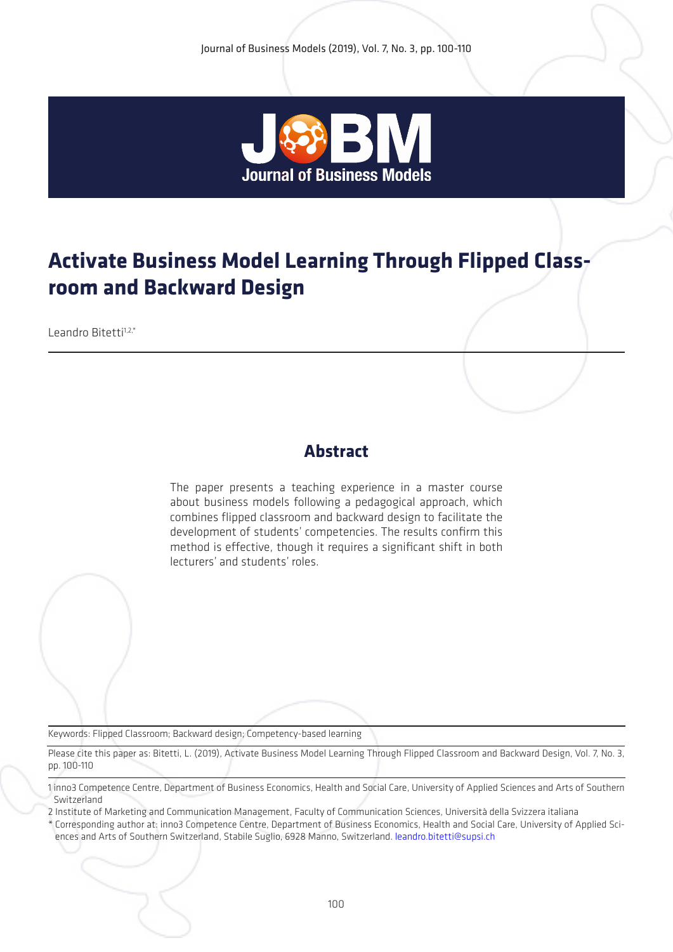

# **Activate Business Model Learning Through Flipped Classroom and Backward Design**

 $L$ eandro Bitetti $1,2,*$ 

# **Abstract**

The paper presents a teaching experience in a master course about business models following a pedagogical approach, which combines flipped classroom and backward design to facilitate the development of students' competencies. The results confirm this method is effective, though it requires a significant shift in both lecturers' and students' roles.

Keywords: Flipped Classroom; Backward design; Competency-based learning

Please cite this paper as: Bitetti, L. (2019), Activate Business Model Learning Through Flipped Classroom and Backward Design, Vol. 7, No. 3, pp. 100-110

2 Institute of Marketing and Communication Management, Faculty of Communication Sciences, Università della Svizzera italiana

\* Corresponding author at: inno3 Competence Centre, Department of Business Economics, Health and Social Care, University of Applied Sciences and Arts of Southern Switzerland, Stabile Suglio, 6928 Manno, Switzerland. leandro.bitetti@supsi.ch

<sup>1</sup> inno3 Competence Centre, Department of Business Economics, Health and Social Care, University of Applied Sciences and Arts of Southern Switzerland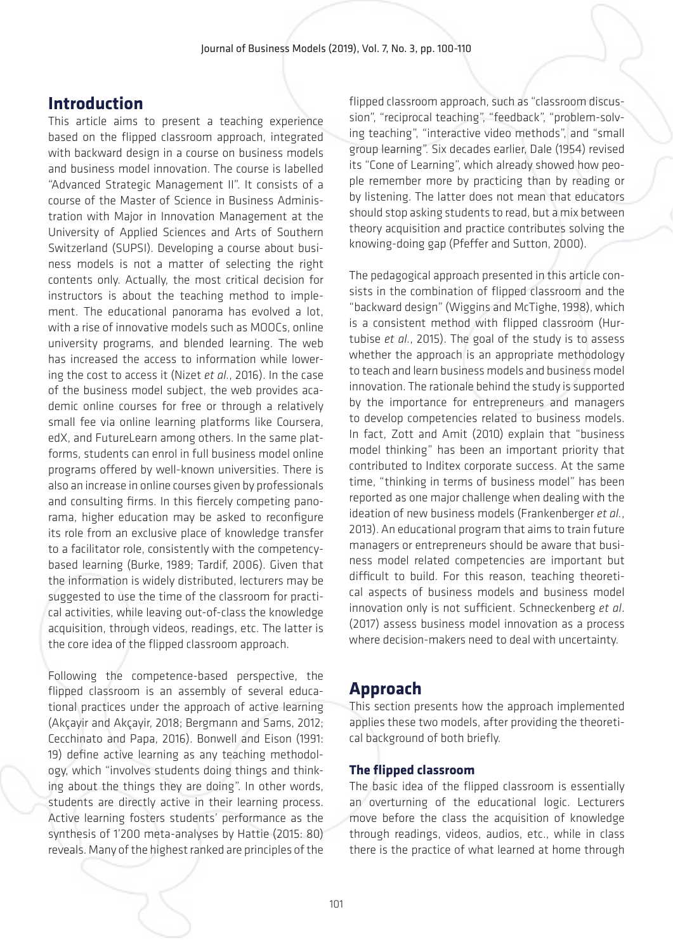### **Introduction**

This article aims to present a teaching experience based on the flipped classroom approach, integrated with backward design in a course on business models and business model innovation. The course is labelled "Advanced Strategic Management II". It consists of a course of the Master of Science in Business Administration with Major in Innovation Management at the University of Applied Sciences and Arts of Southern Switzerland (SUPSI). Developing a course about business models is not a matter of selecting the right contents only. Actually, the most critical decision for instructors is about the teaching method to implement. The educational panorama has evolved a lot, with a rise of innovative models such as MOOCs, online university programs, and blended learning. The web has increased the access to information while lowering the cost to access it (Nizet *et al.*, 2016). In the case of the business model subject, the web provides academic online courses for free or through a relatively small fee via online learning platforms like Coursera, edX, and FutureLearn among others. In the same platforms, students can enrol in full business model online programs offered by well-known universities. There is also an increase in online courses given by professionals and consulting firms. In this fiercely competing panorama, higher education may be asked to reconfigure its role from an exclusive place of knowledge transfer to a facilitator role, consistently with the competencybased learning (Burke, 1989; Tardif, 2006). Given that the information is widely distributed, lecturers may be suggested to use the time of the classroom for practical activities, while leaving out-of-class the knowledge acquisition, through videos, readings, etc. The latter is the core idea of the flipped classroom approach.

Following the competence-based perspective, the flipped classroom is an assembly of several educational practices under the approach of active learning (Akçayir and Akçayir, 2018; Bergmann and Sams, 2012; Cecchinato and Papa, 2016). Bonwell and Eison (1991: 19) define active learning as any teaching methodology, which "involves students doing things and thinking about the things they are doing". In other words, students are directly active in their learning process. Active learning fosters students' performance as the synthesis of 1'200 meta-analyses by Hattie (2015: 80) reveals. Many of the highest ranked are principles of the flipped classroom approach, such as "classroom discussion", "reciprocal teaching", "feedback", "problem-solving teaching", "interactive video methods", and "small group learning". Six decades earlier, Dale (1954) revised its "Cone of Learning", which already showed how people remember more by practicing than by reading or by listening. The latter does not mean that educators should stop asking students to read, but a mix between theory acquisition and practice contributes solving the knowing-doing gap (Pfeffer and Sutton, 2000).

The pedagogical approach presented in this article consists in the combination of flipped classroom and the "backward design" (Wiggins and McTighe, 1998), which is a consistent method with flipped classroom (Hurtubise *et al.*, 2015). The goal of the study is to assess whether the approach is an appropriate methodology to teach and learn business models and business model innovation. The rationale behind the study is supported by the importance for entrepreneurs and managers to develop competencies related to business models. In fact, Zott and Amit (2010) explain that "business model thinking" has been an important priority that contributed to Inditex corporate success. At the same time, "thinking in terms of business model" has been reported as one major challenge when dealing with the ideation of new business models (Frankenberger *et al.*, 2013). An educational program that aims to train future managers or entrepreneurs should be aware that business model related competencies are important but difficult to build. For this reason, teaching theoretical aspects of business models and business model innovation only is not sufficient. Schneckenberg *et al*. (2017) assess business model innovation as a process where decision-makers need to deal with uncertainty.

# **Approach**

This section presents how the approach implemented applies these two models, after providing the theoretical background of both briefly.

### **The flipped classroom**

The basic idea of the flipped classroom is essentially an overturning of the educational logic. Lecturers move before the class the acquisition of knowledge through readings, videos, audios, etc., while in class there is the practice of what learned at home through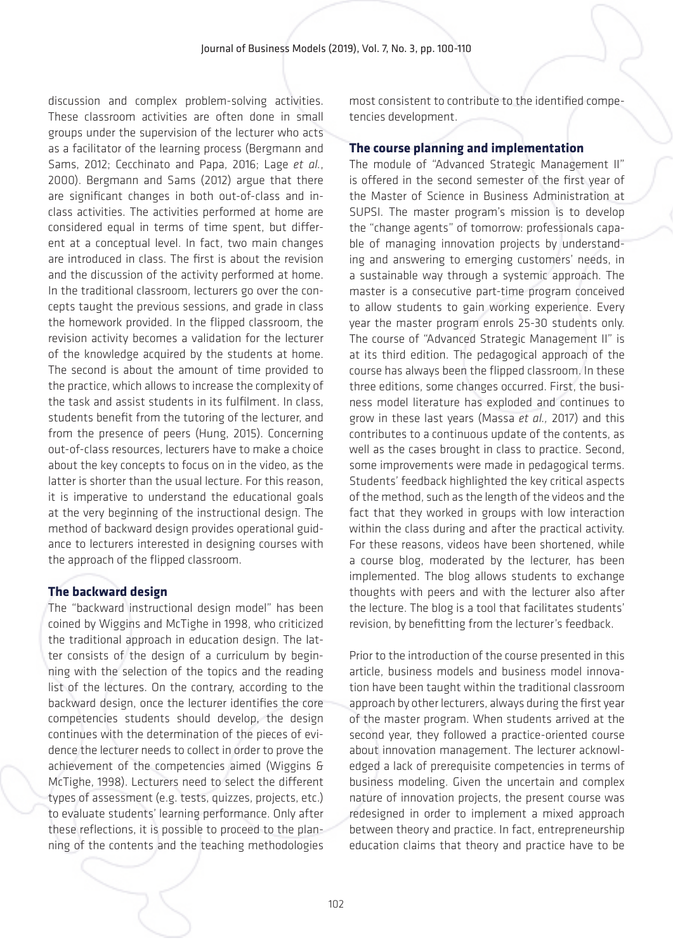discussion and complex problem-solving activities. These classroom activities are often done in small groups under the supervision of the lecturer who acts as a facilitator of the learning process (Bergmann and Sams, 2012; Cecchinato and Papa, 2016; Lage *et al.*, 2000). Bergmann and Sams (2012) argue that there are significant changes in both out-of-class and inclass activities. The activities performed at home are considered equal in terms of time spent, but different at a conceptual level. In fact, two main changes are introduced in class. The first is about the revision and the discussion of the activity performed at home. In the traditional classroom, lecturers go over the concepts taught the previous sessions, and grade in class the homework provided. In the flipped classroom, the revision activity becomes a validation for the lecturer of the knowledge acquired by the students at home. The second is about the amount of time provided to the practice, which allows to increase the complexity of the task and assist students in its fulfilment. In class, students benefit from the tutoring of the lecturer, and from the presence of peers (Hung, 2015). Concerning out-of-class resources, lecturers have to make a choice about the key concepts to focus on in the video, as the latter is shorter than the usual lecture. For this reason, it is imperative to understand the educational goals at the very beginning of the instructional design. The method of backward design provides operational guidance to lecturers interested in designing courses with the approach of the flipped classroom.

### **The backward design**

The "backward instructional design model" has been coined by Wiggins and McTighe in 1998, who criticized the traditional approach in education design. The latter consists of the design of a curriculum by beginning with the selection of the topics and the reading list of the lectures. On the contrary, according to the backward design, once the lecturer identifies the core competencies students should develop, the design continues with the determination of the pieces of evidence the lecturer needs to collect in order to prove the achievement of the competencies aimed (Wiggins & McTighe, 1998). Lecturers need to select the different types of assessment (e.g. tests, quizzes, projects, etc.) to evaluate students' learning performance. Only after these reflections, it is possible to proceed to the planning of the contents and the teaching methodologies

most consistent to contribute to the identified competencies development.

### **The course planning and implementation**

The module of "Advanced Strategic Management II" is offered in the second semester of the first year of the Master of Science in Business Administration at SUPSI. The master program's mission is to develop the "change agents" of tomorrow: professionals capable of managing innovation projects by understanding and answering to emerging customers' needs, in a sustainable way through a systemic approach. The master is a consecutive part-time program conceived to allow students to gain working experience. Every year the master program enrols 25-30 students only. The course of "Advanced Strategic Management II" is at its third edition. The pedagogical approach of the course has always been the flipped classroom. In these three editions, some changes occurred. First, the business model literature has exploded and continues to grow in these last years (Massa *et al.,* 2017) and this contributes to a continuous update of the contents, as well as the cases brought in class to practice. Second, some improvements were made in pedagogical terms. Students' feedback highlighted the key critical aspects of the method, such as the length of the videos and the fact that they worked in groups with low interaction within the class during and after the practical activity. For these reasons, videos have been shortened, while a course blog, moderated by the lecturer, has been implemented. The blog allows students to exchange thoughts with peers and with the lecturer also after the lecture. The blog is a tool that facilitates students' revision, by benefitting from the lecturer's feedback.

Prior to the introduction of the course presented in this article, business models and business model innovation have been taught within the traditional classroom approach by other lecturers, always during the first year of the master program. When students arrived at the second year, they followed a practice-oriented course about innovation management. The lecturer acknowledged a lack of prerequisite competencies in terms of business modeling. Given the uncertain and complex nature of innovation projects, the present course was redesigned in order to implement a mixed approach between theory and practice. In fact, entrepreneurship education claims that theory and practice have to be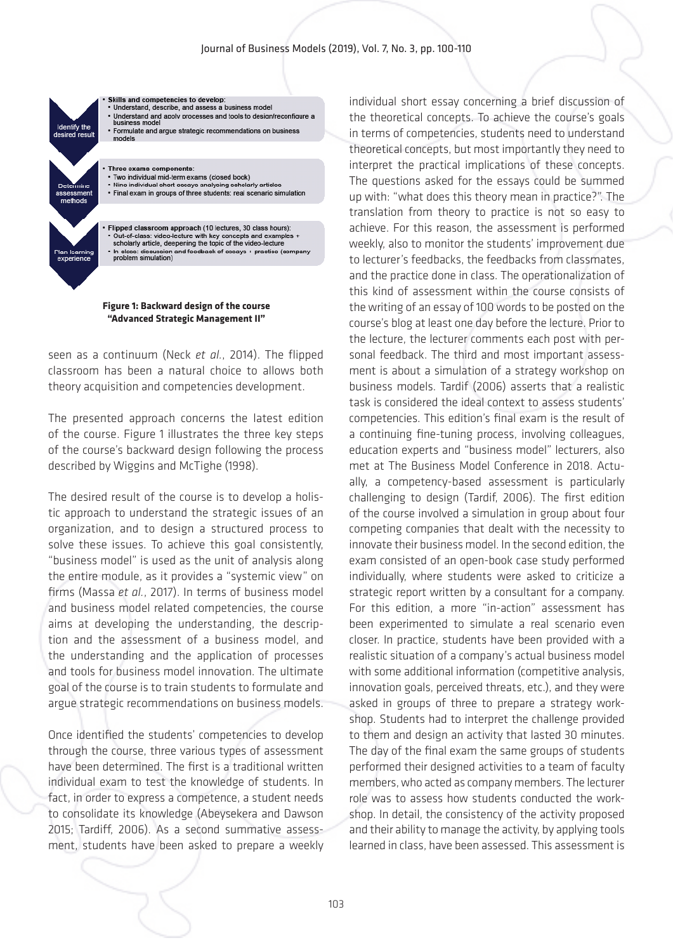#### Journal of Business Models (2019), Vol. 7, No. 3, pp. 100-110



**Figure 1: Backward design of the course "Advanced Strategic Management II"**

seen as a continuum (Neck *et al.*, 2014). The flipped classroom has been a natural choice to allows both theory acquisition and competencies development.

The presented approach concerns the latest edition of the course. Figure 1 illustrates the three key steps of the course's backward design following the process described by Wiggins and McTighe (1998).

The desired result of the course is to develop a holistic approach to understand the strategic issues of an organization, and to design a structured process to solve these issues. To achieve this goal consistently, "business model" is used as the unit of analysis along the entire module, as it provides a "systemic view" on firms (Massa *et al.*, 2017). In terms of business model and business model related competencies, the course aims at developing the understanding, the description and the assessment of a business model, and the understanding and the application of processes and tools for business model innovation. The ultimate goal of the course is to train students to formulate and argue strategic recommendations on business models.

Once identified the students' competencies to develop through the course, three various types of assessment have been determined. The first is a traditional written individual exam to test the knowledge of students. In fact, in order to express a competence, a student needs to consolidate its knowledge (Abeysekera and Dawson 2015; Tardiff, 2006). As a second summative assessment, students have been asked to prepare a weekly

individual short essay concerning a brief discussion of the theoretical concepts. To achieve the course's goals in terms of competencies, students need to understand theoretical concepts, but most importantly they need to interpret the practical implications of these concepts. The questions asked for the essays could be summed up with: "what does this theory mean in practice?". The translation from theory to practice is not so easy to achieve. For this reason, the assessment is performed weekly, also to monitor the students' improvement due to lecturer's feedbacks, the feedbacks from classmates, and the practice done in class. The operationalization of this kind of assessment within the course consists of the writing of an essay of 100 words to be posted on the course's blog at least one day before the lecture. Prior to the lecture, the lecturer comments each post with personal feedback. The third and most important assessment is about a simulation of a strategy workshop on business models. Tardif (2006) asserts that a realistic task is considered the ideal context to assess students' competencies. This edition's final exam is the result of a continuing fine-tuning process, involving colleagues, education experts and "business model" lecturers, also met at The Business Model Conference in 2018. Actually, a competency-based assessment is particularly challenging to design (Tardif, 2006). The first edition of the course involved a simulation in group about four competing companies that dealt with the necessity to innovate their business model. In the second edition, the exam consisted of an open-book case study performed individually, where students were asked to criticize a strategic report written by a consultant for a company. For this edition, a more "in-action" assessment has been experimented to simulate a real scenario even closer. In practice, students have been provided with a realistic situation of a company's actual business model with some additional information (competitive analysis, innovation goals, perceived threats, etc.), and they were asked in groups of three to prepare a strategy workshop. Students had to interpret the challenge provided to them and design an activity that lasted 30 minutes. The day of the final exam the same groups of students performed their designed activities to a team of faculty members, who acted as company members. The lecturer role was to assess how students conducted the workshop. In detail, the consistency of the activity proposed and their ability to manage the activity, by applying tools learned in class, have been assessed. This assessment is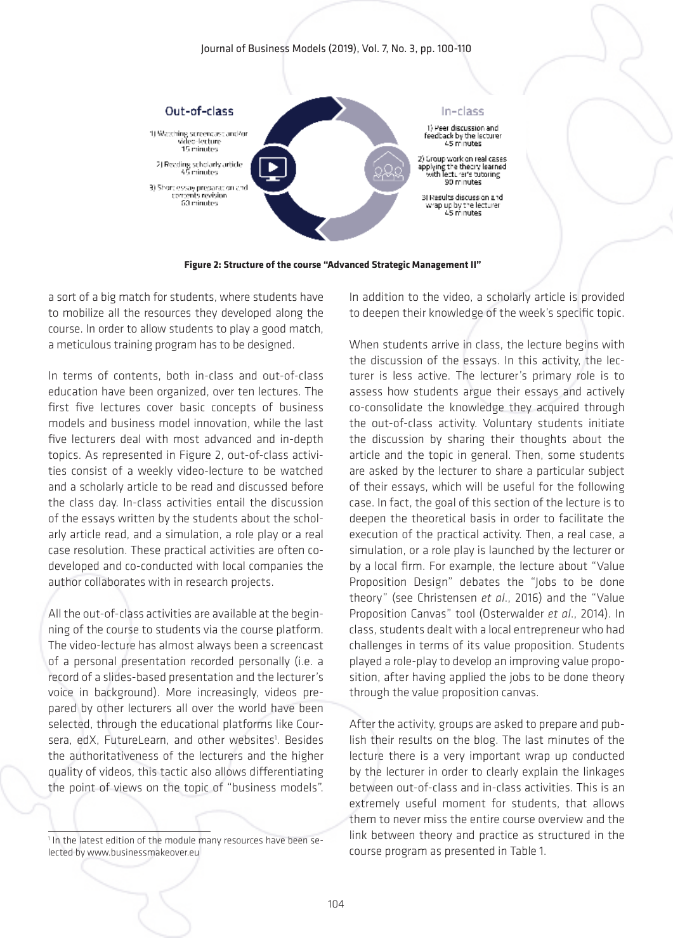#### Journal of Business Models (2019), Vol. 7, No. 3, pp. 100-110



**Figure 2: Structure of the course "Advanced Strategic Management II"**

a sort of a big match for students, where students have to mobilize all the resources they developed along the course. In order to allow students to play a good match, a meticulous training program has to be designed.

In terms of contents, both in-class and out-of-class education have been organized, over ten lectures. The first five lectures cover basic concepts of business models and business model innovation, while the last five lecturers deal with most advanced and in-depth topics. As represented in Figure 2, out-of-class activities consist of a weekly video-lecture to be watched and a scholarly article to be read and discussed before the class day. In-class activities entail the discussion of the essays written by the students about the scholarly article read, and a simulation, a role play or a real case resolution. These practical activities are often codeveloped and co-conducted with local companies the author collaborates with in research projects.

All the out-of-class activities are available at the beginning of the course to students via the course platform. The video-lecture has almost always been a screencast of a personal presentation recorded personally (i.e. a record of a slides-based presentation and the lecturer's voice in background). More increasingly, videos prepared by other lecturers all over the world have been selected, through the educational platforms like Coursera, edX, FutureLearn, and other websites<sup>1</sup>. Besides the authoritativeness of the lecturers and the higher quality of videos, this tactic also allows differentiating the point of views on the topic of "business models".

<sup>1</sup> In the latest edition of the module many resources have been selected by www.businessmakeover.eu

In addition to the video, a scholarly article is provided to deepen their knowledge of the week's specific topic.

When students arrive in class, the lecture begins with the discussion of the essays. In this activity, the lecturer is less active. The lecturer's primary role is to assess how students argue their essays and actively co-consolidate the knowledge they acquired through the out-of-class activity. Voluntary students initiate the discussion by sharing their thoughts about the article and the topic in general. Then, some students are asked by the lecturer to share a particular subject of their essays, which will be useful for the following case. In fact, the goal of this section of the lecture is to deepen the theoretical basis in order to facilitate the execution of the practical activity. Then, a real case, a simulation, or a role play is launched by the lecturer or by a local firm. For example, the lecture about "Value Proposition Design" debates the "Jobs to be done theory" (see Christensen *et al*., 2016) and the "Value Proposition Canvas" tool (Osterwalder *et al*., 2014). In class, students dealt with a local entrepreneur who had challenges in terms of its value proposition. Students played a role-play to develop an improving value proposition, after having applied the jobs to be done theory through the value proposition canvas.

After the activity, groups are asked to prepare and publish their results on the blog. The last minutes of the lecture there is a very important wrap up conducted by the lecturer in order to clearly explain the linkages between out-of-class and in-class activities. This is an extremely useful moment for students, that allows them to never miss the entire course overview and the link between theory and practice as structured in the course program as presented in Table 1.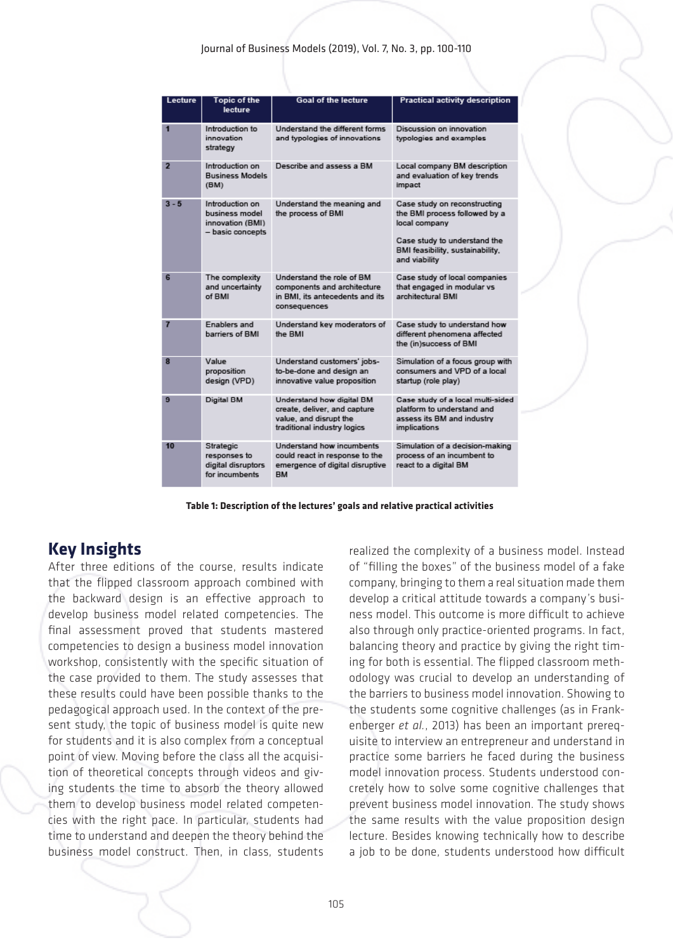#### Journal of Business Models (2019), Vol. 7, No. 3, pp. 100-110

| Lecture        | <b>Topic of the</b><br>lecture                                            | <b>Goal of the lecture</b>                                                                                         | <b>Practical activity description</b>                                                                                                                               |
|----------------|---------------------------------------------------------------------------|--------------------------------------------------------------------------------------------------------------------|---------------------------------------------------------------------------------------------------------------------------------------------------------------------|
| 1              | Introduction to<br>innovation<br>strategy                                 | <b>Understand the different forms</b><br>and typologies of innovations                                             | Discussion on innovation<br>typologies and examples                                                                                                                 |
| $\overline{2}$ | Introduction on<br><b>Business Models</b><br>(BM)                         | Describe and assess a BM                                                                                           | Local company BM description<br>and evaluation of key trends<br>impact                                                                                              |
| $3 - 5$        | Introduction on<br>business model<br>innovation (BMI)<br>- basic concepts | Understand the meaning and<br>the process of BMI                                                                   | Case study on reconstructing<br>the BMI process followed by a<br>local company<br>Case study to understand the<br>BMI feasibility, sustainability,<br>and viability |
| 6              | The complexity<br>and uncertainty<br>of BMI                               | Understand the role of BM<br>components and architecture<br>in BMI, its antecedents and its<br>consequences        | Case study of local companies<br>that engaged in modular vs<br>architectural BMI                                                                                    |
| $\overline{7}$ | Enablers and<br>barriers of BMI                                           | Understand key moderators of<br>the BMI                                                                            | Case study to understand how<br>different phenomena affected<br>the (in)success of BMI                                                                              |
| 8              | Value<br>proposition<br>design (VPD)                                      | Understand customers' jobs-<br>to-be-done and design an<br>innovative value proposition                            | Simulation of a focus group with<br>consumers and VPD of a local<br>startup (role play)                                                                             |
| 9              | Digital BM                                                                | Understand how digital BM<br>create, deliver, and capture<br>value, and disrupt the<br>traditional industry logics | Case study of a local multi-sided<br>platform to understand and<br>assess its BM and industry<br>implications                                                       |
| 10             | Strategic<br>responses to<br>digital disruptors<br>for incumbents         | Understand how incumbents<br>could react in response to the<br>emergence of digital disruptive<br><b>RM</b>        | Simulation of a decision-making<br>process of an incumbent to<br>react to a digital BM                                                                              |

**Table 1: Description of the lectures' goals and relative practical activities**

# **Key Insights**

After three editions of the course, results indicate that the flipped classroom approach combined with the backward design is an effective approach to develop business model related competencies. The final assessment proved that students mastered competencies to design a business model innovation workshop, consistently with the specific situation of the case provided to them. The study assesses that these results could have been possible thanks to the pedagogical approach used. In the context of the present study, the topic of business model is quite new for students and it is also complex from a conceptual point of view. Moving before the class all the acquisition of theoretical concepts through videos and giving students the time to absorb the theory allowed them to develop business model related competencies with the right pace. In particular, students had time to understand and deepen the theory behind the business model construct. Then, in class, students

realized the complexity of a business model. Instead of "filling the boxes" of the business model of a fake company, bringing to them a real situation made them develop a critical attitude towards a company's business model. This outcome is more difficult to achieve also through only practice-oriented programs. In fact, balancing theory and practice by giving the right timing for both is essential. The flipped classroom methodology was crucial to develop an understanding of the barriers to business model innovation. Showing to the students some cognitive challenges (as in Frankenberger *et al.*, 2013) has been an important prerequisite to interview an entrepreneur and understand in practice some barriers he faced during the business model innovation process. Students understood concretely how to solve some cognitive challenges that prevent business model innovation. The study shows the same results with the value proposition design lecture. Besides knowing technically how to describe a job to be done, students understood how difficult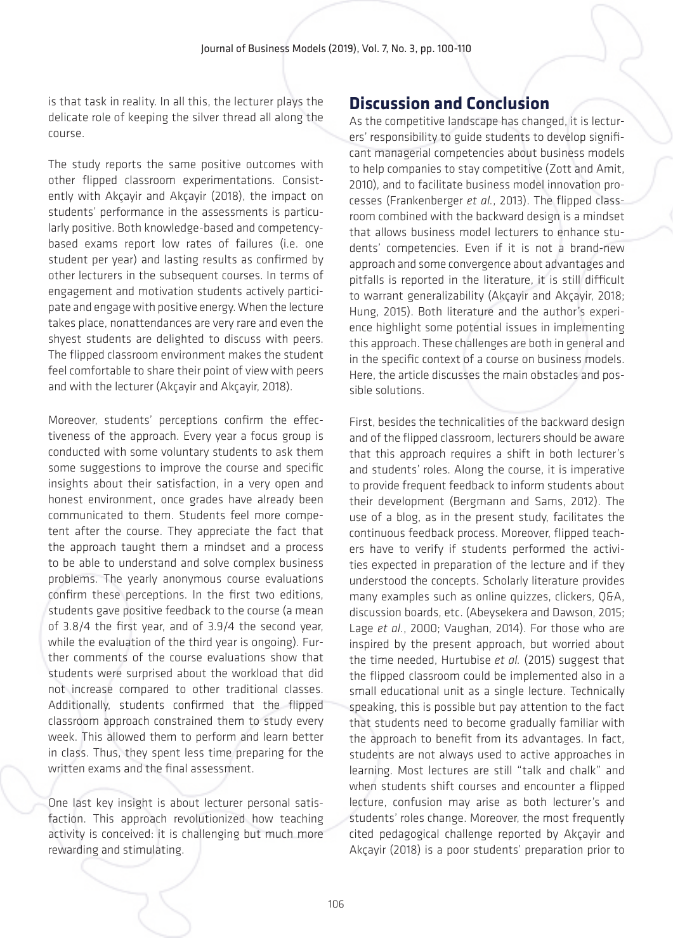is that task in reality. In all this, the lecturer plays the delicate role of keeping the silver thread all along the course.

The study reports the same positive outcomes with other flipped classroom experimentations. Consistently with Akçayir and Akçayir (2018), the impact on students' performance in the assessments is particularly positive. Both knowledge-based and competencybased exams report low rates of failures (i.e. one student per year) and lasting results as confirmed by other lecturers in the subsequent courses. In terms of engagement and motivation students actively participate and engage with positive energy. When the lecture takes place, nonattendances are very rare and even the shyest students are delighted to discuss with peers. The flipped classroom environment makes the student feel comfortable to share their point of view with peers and with the lecturer (Akçayir and Akçayir, 2018).

Moreover, students' perceptions confirm the effectiveness of the approach. Every year a focus group is conducted with some voluntary students to ask them some suggestions to improve the course and specific insights about their satisfaction, in a very open and honest environment, once grades have already been communicated to them. Students feel more competent after the course. They appreciate the fact that the approach taught them a mindset and a process to be able to understand and solve complex business problems. The yearly anonymous course evaluations confirm these perceptions. In the first two editions, students gave positive feedback to the course (a mean of 3.8/4 the first year, and of 3.9/4 the second year, while the evaluation of the third year is ongoing). Further comments of the course evaluations show that students were surprised about the workload that did not increase compared to other traditional classes. Additionally, students confirmed that the flipped classroom approach constrained them to study every week. This allowed them to perform and learn better in class. Thus, they spent less time preparing for the written exams and the final assessment.

One last key insight is about lecturer personal satisfaction. This approach revolutionized how teaching activity is conceived: it is challenging but much more rewarding and stimulating.

### **Discussion and Conclusion**

As the competitive landscape has changed, it is lecturers' responsibility to guide students to develop significant managerial competencies about business models to help companies to stay competitive (Zott and Amit, 2010), and to facilitate business model innovation processes (Frankenberger *et al.*, 2013). The flipped classroom combined with the backward design is a mindset that allows business model lecturers to enhance students' competencies. Even if it is not a brand-new approach and some convergence about advantages and pitfalls is reported in the literature, it is still difficult to warrant generalizability (Akçayir and Akçayir, 2018; Hung, 2015). Both literature and the author's experience highlight some potential issues in implementing this approach. These challenges are both in general and in the specific context of a course on business models. Here, the article discusses the main obstacles and possible solutions.

First, besides the technicalities of the backward design and of the flipped classroom, lecturers should be aware that this approach requires a shift in both lecturer's and students' roles. Along the course, it is imperative to provide frequent feedback to inform students about their development (Bergmann and Sams, 2012). The use of a blog, as in the present study, facilitates the continuous feedback process. Moreover, flipped teachers have to verify if students performed the activities expected in preparation of the lecture and if they understood the concepts. Scholarly literature provides many examples such as online quizzes, clickers, Q&A, discussion boards, etc. (Abeysekera and Dawson, 2015; Lage *et al.*, 2000; Vaughan, 2014). For those who are inspired by the present approach, but worried about the time needed, Hurtubise *et al.* (2015) suggest that the flipped classroom could be implemented also in a small educational unit as a single lecture. Technically speaking, this is possible but pay attention to the fact that students need to become gradually familiar with the approach to benefit from its advantages. In fact, students are not always used to active approaches in learning. Most lectures are still "talk and chalk" and when students shift courses and encounter a flipped lecture, confusion may arise as both lecturer's and students' roles change. Moreover, the most frequently cited pedagogical challenge reported by Akçayir and Akçayir (2018) is a poor students' preparation prior to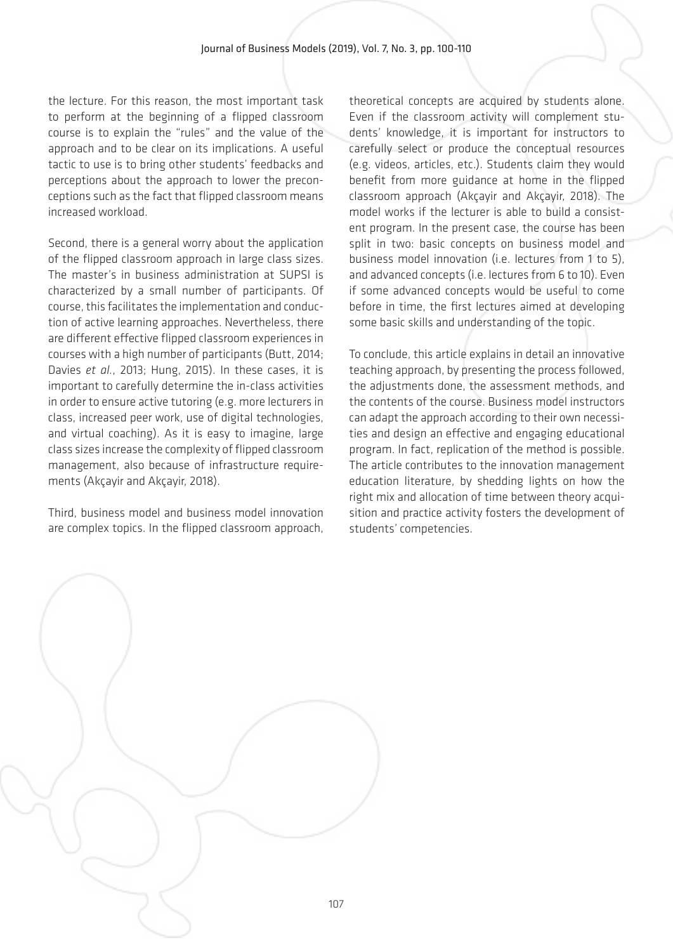the lecture. For this reason, the most important task to perform at the beginning of a flipped classroom course is to explain the "rules" and the value of the approach and to be clear on its implications. A useful tactic to use is to bring other students' feedbacks and perceptions about the approach to lower the preconceptions such as the fact that flipped classroom means increased workload.

Second, there is a general worry about the application of the flipped classroom approach in large class sizes. The master's in business administration at SUPSI is characterized by a small number of participants. Of course, this facilitates the implementation and conduction of active learning approaches. Nevertheless, there are different effective flipped classroom experiences in courses with a high number of participants (Butt, 2014; Davies *et al.*, 2013; Hung, 2015). In these cases, it is important to carefully determine the in-class activities in order to ensure active tutoring (e.g. more lecturers in class, increased peer work, use of digital technologies, and virtual coaching). As it is easy to imagine, large class sizes increase the complexity of flipped classroom management, also because of infrastructure requirements (Akçayir and Akçayir, 2018).

Third, business model and business model innovation are complex topics. In the flipped classroom approach,

theoretical concepts are acquired by students alone. Even if the classroom activity will complement students' knowledge, it is important for instructors to carefully select or produce the conceptual resources (e.g. videos, articles, etc.). Students claim they would benefit from more guidance at home in the flipped classroom approach (Akçayir and Akçayir, 2018). The model works if the lecturer is able to build a consistent program. In the present case, the course has been split in two: basic concepts on business model and business model innovation (i.e. lectures from 1 to 5), and advanced concepts (i.e. lectures from 6 to 10). Even if some advanced concepts would be useful to come before in time, the first lectures aimed at developing some basic skills and understanding of the topic.

To conclude, this article explains in detail an innovative teaching approach, by presenting the process followed, the adjustments done, the assessment methods, and the contents of the course. Business model instructors can adapt the approach according to their own necessities and design an effective and engaging educational program. In fact, replication of the method is possible. The article contributes to the innovation management education literature, by shedding lights on how the right mix and allocation of time between theory acquisition and practice activity fosters the development of students' competencies.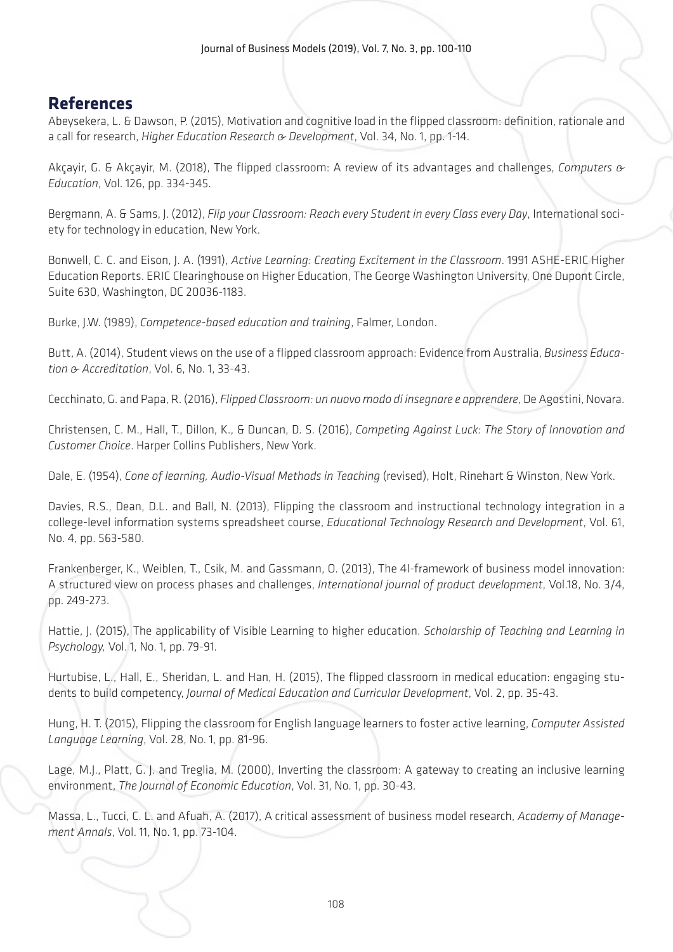## **References**

Abeysekera, L. & Dawson, P. (2015), Motivation and cognitive load in the flipped classroom: definition, rationale and a call for research, *Higher Education Research & Development*, Vol. 34, No. 1, pp. 1-14.

Akçayir, G. & Akçayir, M. (2018), The flipped classroom: A review of its advantages and challenges, *Computers & Education*, Vol. 126, pp. 334-345.

Bergmann, A. & Sams, J. (2012), *Flip your Classroom: Reach every Student in every Class every Day*, International society for technology in education, New York.

Bonwell, C. C. and Eison, J. A. (1991), *Active Learning: Creating Excitement in the Classroom*. 1991 ASHE-ERIC Higher Education Reports. ERIC Clearinghouse on Higher Education, The George Washington University, One Dupont Circle, Suite 630, Washington, DC 20036-1183.

Burke, J.W. (1989), *Competence-based education and training*, Falmer, London.

Butt, A. (2014), Student views on the use of a flipped classroom approach: Evidence from Australia, *Business Education & Accreditation*, Vol. 6, No. 1, 33-43.

Cecchinato, G. and Papa, R. (2016), *Flipped Classroom: un nuovo modo di insegnare e apprendere*, De Agostini, Novara.

Christensen, C. M., Hall, T., Dillon, K., & Duncan, D. S. (2016), *Competing Against Luck: The Story of Innovation and Customer Choice*. Harper Collins Publishers, New York.

Dale, E. (1954), *Cone of learning, Audio-Visual Methods in Teaching* (revised), Holt, Rinehart & Winston, New York.

Davies, R.S., Dean, D.L. and Ball, N. (2013), Flipping the classroom and instructional technology integration in a college-level information systems spreadsheet course, *Educational Technology Research and Development*, Vol. 61, No. 4, pp. 563-580.

Frankenberger, K., Weiblen, T., Csik, M. and Gassmann, O. (2013), The 4I-framework of business model innovation: A structured view on process phases and challenges, *International journal of product development*, Vol.18, No. 3/4, pp. 249-273.

Hattie, J. (2015), The applicability of Visible Learning to higher education. *Scholarship of Teaching and Learning in Psychology, Vol.* 1, No. 1, pp. 79-91.

Hurtubise, L., Hall, E., Sheridan, L. and Han, H. (2015), The flipped classroom in medical education: engaging students to build competency, *Journal of Medical Education and Curricular Development*, Vol. 2, pp. 35-43.

Hung, H. T. (2015), Flipping the classroom for English language learners to foster active learning, *Computer Assisted Language Learning*, Vol. 28, No. 1, pp. 81-96.

Lage, M.J., Platt, G. J. and Treglia, M. (2000), Inverting the classroom: A gateway to creating an inclusive learning environment, *The Journal of Economic Education*, Vol. 31, No. 1, pp. 30-43.

Massa, L., Tucci, C. L. and Afuah, A. (2017), A critical assessment of business model research, *Academy of Management Annals*, Vol. 11, No. 1, pp. 73-104.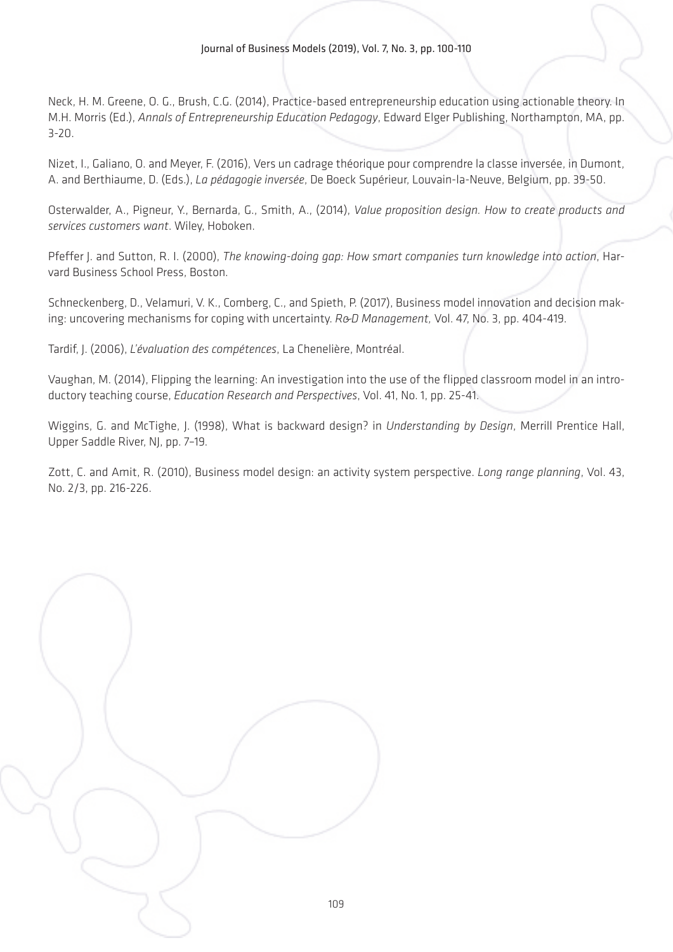Neck, H. M. Greene, O. G., Brush, C.G. (2014), Practice-based entrepreneurship education using actionable theory. In M.H. Morris (Ed.), *Annals of Entrepreneurship Education Pedagogy*, Edward Elger Publishing, Northampton, MA, pp. 3-20.

Nizet, I., Galiano, O. and Meyer, F. (2016), Vers un cadrage théorique pour comprendre la classe inversée, in Dumont, A. and Berthiaume, D. (Eds.), *La pédagogie inversée*, De Boeck Supérieur, Louvain-la-Neuve, Belgium, pp. 39-50.

Osterwalder, A., Pigneur, Y., Bernarda, G., Smith, A., (2014), *Value proposition design. How to create products and services customers want*. Wiley, Hoboken.

Pfeffer J. and Sutton, R. I. (2000), *The knowing-doing gap: How smart companies turn knowledge into action*, Harvard Business School Press, Boston.

Schneckenberg, D., Velamuri, V. K., Comberg, C., and Spieth, P. (2017), Business model innovation and decision making: uncovering mechanisms for coping with uncertainty. *R&D Management,* Vol. 47, No. 3, pp. 404-419.

Tardif, J. (2006), *L'évaluation des compétences*, La Chenelière, Montréal.

Vaughan, M. (2014), Flipping the learning: An investigation into the use of the flipped classroom model in an introductory teaching course, *Education Research and Perspectives*, Vol. 41, No. 1, pp. 25-41.

Wiggins, G. and McTighe, J. (1998), What is backward design? in *Understanding by Design*, Merrill Prentice Hall, Upper Saddle River, NJ, pp. 7-19.

Zott, C. and Amit, R. (2010), Business model design: an activity system perspective. *Long range planning*, Vol. 43, No. 2/3, pp. 216-226.